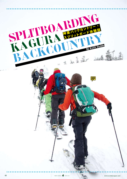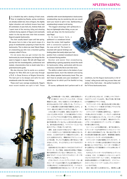SPLITBOARDING

I t's a bluebird day with a dusting of fresh snow. Over at neighboring Naeba, spring conditions are already evident but, here at Kagura, the slightly higher elevation and northerly breeze have kept 20 centimeters of pow fairly dry. Andrew Kelly and I spent most of the morning riding and shooting northerly-facing aspects of Kagura and eventually made it to the top two-man chair that accesses Kagura's popular backcountry.

The chair usually doesn't open until late spring. We pause here to take a few quick snaps of a group of snowboarders preparing to head into the backcountry. This is where we meet Takumi Nagai, an unassuming guy who runs a mountain guiding company called Tri Force.

It's not every day you get invited into the backcountry by recent strangers, but things like this seem to happen in Japan. We talk with Nagai and quickly find him knowledgeable, professional and modest, characteristics that no doubt make him a great backcountry guide.

We also discover that he works as a product designer for Nike ACG and is part way through a Ph.D. in Snow Science at Niigata University. The best part is he designs and sells his own snowboards under the name Voltage.

These aren't your average snowboards. Nagai's most recent models are split in half. Those

unfamiliar with recent developments in backcountry snowboarding may be wondering why you would want your board to split in two. Splitboarding is snowboarding's answer to ski touring.

"The biggest advantage with splitboards is they are lightweight when hiking, so you can easily get deep into the backcountry," says Nagai.

In its most basic form, a splitboard is a snowboard sliced down the center, held together with a connection system at the nose and tail. The board is mounted with special bindings and binding plates that easily adjust your foot position from a standard snowboard stance to a forward-facing position.

Quicker and easier than snowshoeing, splitboarding is gaining popularity around the world for backcountry riding – particularly with the ecoconscious crowd who like to earn their turns.

The ability to attach skins to the bottom of your separated board, much like telemark and touring skis, allows speedier backcountry travel. Plus, you don't have to actually carry your snowboard—an added bonus for which you'll be thankful on long hike-ins.

Of course, splitboards don't perform well in all

**△ 日の神楽は雲一つない晴天。お隣の苗場はすっ**<br>
─ かり春スキーのコンディションだが、こちらは 標高が少し高く、冷たい北風が入ってきた事もあって、 まだ20cmほどのパウダーが残っている。アンドリュー・ ケリーと僕は朝から北側の斜面で撮影をしながら、よ うやく一番上の2人乗りリフトまでたどり着いた。

この2人乗りリフトは毎年、春先になるまでオープン しないことが多いのだが、ここから魅力的なバックカン トリーエリアにアクセスする事ができる。休憩をかねて、 これからバックカントリーに入っていくスノーボーダー 達の写真を取っているとちょっと控えめな男と出会っ た。彼の名前は永井拓三。『トライフォース』という山 岳ガイドグループを率いているそうだ。

通常、出会ったばかりの他人から『一緒にバックカ ントリーを滑ろう』という招待を受ける事は少ないも のだが、ここ日本ではそういう機会がわりと多い。彼 と少し会話をかわすと、博識がありプロフェッショナ ルである事、そしてとても謙虚な人間であるという事 が伝わってきた。きっとすばらしいガイドなのだろう と思った。

会話を続けるうちに彼がナイキACGのプロダクトデ ザイナーで、そして現在、新潟大学大学院にて雪崩に 関する研究を行っているという事も分かった。さらに、 彼は『ボルテージ』というオリジナルのスノーボードを デザインして販売しているという。

どうも『ボルテージ』というブランドのボードは一般 のスノーボードとはかけ離れている。彼の最新作はボー ドが真ん中から二つに割れるのだそうだ。バックカント リーの最新事情をあまり知らないスノーボーダーは『な

ぜ?』と思うかもしれないが、この新しいタイプのボー ドはスプリットボードとよばれ、雪山での長い登りを楽 にする画期的なデザインである。

conditions, but the Kagura backcountry is full of "cruisey" rolling terrain with long access hikes and plenty of dry, fresh snow—the perfect location for

the Tri Force backcountry tours.

『スプリットボードの一番の利点は登りの時に軽い 事。バックカントリーの奥深くまで楽にアクセスする 事ができるんです』と永井は言う。

スプリットボードを簡単に説明すると、一般のボー ドを真ん中から2つに割り、ノーズとテール部分を金 具でつなぐ仕組みになっている。バインディングも特 殊なプレートをマウントする事で、横向きのライディ ングモードから前向きのツアーリングモードへ簡単に 切り替える事ができる。

スノーシューよりも移動が速く、楽である事から、 スプリットボードは今世界中のバックカントリーライ ダー達から注目を集めている。特に自分で登ってそ の分滑る事の意義を感じる者や、環境問題に敏感な バックカントリーライダーからの注目は熱い。

スプリットボードは板の裏側にスキンをつけて、ス キーやテレマークの様に山を登る事ができるぶん移 動が速いというだけでなく、スノーボードを背負って 歩く必要がないので長距離のハイクには特に向いて いるわけだ。

もちろんスプリットボードにも不向きなコンディショ ンがある。だが、ここ神楽のバックカントリーはドラ イなフカフカのパウダースノーが多く、その遊びのあ る地形は長時間のハイクを要するので、トライフォー スのバックカントリーツアーにはもってこいのロケー ションなのである。

翌日一緒に滑ろうと約束をかわし、朝8時に山麓

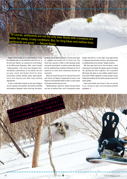"Of course, splitboards are not the only way. Boots with crampons are better for steep, crusty conditions. But, for long hikes and mellow lines, splitboards are great." —Takumi Nagai

Nagai kindly invites us to come along on a tour the following day, so we meet the crew at 8 a.m. in the Sanroku Station car parking lot at the bottom of the Mitsumata Ropeway. After some friendly "hajimemashite," and a few semi-awkward bowhandshake combinations on my behalf, we sort our gear, check and double-check for skins, transceivers, probes, shovels, poles, spare gloves, lunch and cameras and make some binding adjustments.

It was a multi-pitch mission to the top of Kagura via the ropeway, the gondola, and several chairlifts and skating in between. Once at the top, the boardsplitting and de-layering begins. Sunnies and skins on, goggles and jackets off, it's time to go. The three-hour journey is filled in with pleasing views and good conversation, as well as some silly stacks (by the splitboarding newbies) followed by fits of hysterics on some short downward pitches we encounter.

When we reach the top of our trek we have lunch and check out Nagai's topographical map to see Kagura's real potential while he tells us more about his boards and the trips he runs.

"Splitboarding is good for Japan because there are lots of mellow lines, and it frequently snows deeper than 50 cm. in one night. Long approaches in Japanese backcountry can be in very deep snow, so splitboarding is the answer," Nagai exclaims.

We then gear back up for the trip down, check transceivers and begin the jigsaw puzzle of putting the splitboards back together. Our enjoyable 30-minute ride down is over mellow, playful terrain; from wind-ruffled ridgelines to open powder faces, finally descending into the sticky spring snow of the lower gullies.

Done and dusted, we're back in the car park by 2 p.m. sorting out gear and exchanging grateful goodbyes. ✤

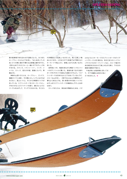

駅の駐車場で待ち合わせする事になった。みつまた ロープウェーのふもとで合流し、『はじめまして』の あいさつの際に僕の不慣れなお辞儀と握手をやさし く受け止めてくれたクルーと一緒にギアのチェックを すませる。スキンズ、トランシーバー、ゾンデ、シ ャベル、ストック、控えの手袋、昼飯にカメラ。準 備はOK。

神楽の山頂へ行くには、ロープウェー、ゴンドラ、 複数のリフトに乗り、その間に少しハイクしなければ ならない。頂上につくと、そこから3時間のハイクが 待っている。スプリットボードをスキーモードにし、 汗をかかないようジャケットを脱ぐ。曇らないように ゴーグルをはずして、サングラスをかける。そこから

の3時間はとても楽しいものだった。笑いと美しい眺 めにかこまれ、ときおりの下り斜面では不慣れなス キーモードで転んだり、苦戦しながらも笑いながら 歩いた。

目的地につき、地図を見ながら神楽バックカントリ ーのポテンシャルに驚いた。昼食を食べながら彼の ボード作りやガイドの話なども聞かせてもらう。『スプ リットボードは日本の山にとても向いているんです。 メローな山が多く、一晩で50cm以上の積雪なんて 事もよくあるんでね。深い新雪の中の長いハイクに はやっぱりスプリットボードが最適なんです』と永井 は言う。

ストックをたたみ、滑る為の準備をはじめる。パズ

ルのようにスキーモードのスプリットボードをライデ ィングモードに切り替える。吹きだまりのリッジライ ンやフカフカのオープンバーンなど、メローで遊びの ある地形を30分かけて楽しみながら降り、下の方の 尾根の春雪まで味わう。

午後2時には駐車場に戻ってき て、ギアの確認とお別れのあい さつを交わした。✤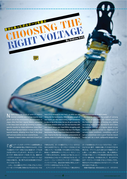Niigata bears the brunt of some of Japan's heaviest snowfall, and Voltage boards have grown out of this environment. Snowboarders in Japan often find their regular boards submarine in this deep snow and end up investing in powderspecific boards for those bottomless snow days. Recent board designs feature reverse camber and tapered boards, allowing more float in the deep stuff and more smiles on snow-covered faces.

However, it doesn't matter what kind of board you

**『 ナイン**ルテージ』のボードデザインは豪雪地帯とよ<br>- イイト <sub>ばれる新潟の雪山で育まれたものだ。こちら</sub> では絶好のパウダー日和になると普通のボードでは浮 力が足りずもぐってしまうので、多くのスノーボーダー がパウダー専用に別のボードを持っている。最新のボ ードデザインにはリバースキャンバーやテーパーなど の加工が施され、深い雪でも浮力を得る事のできるデ ザインになっている。

しかし、どんな優れたデザインであってもバックカン トリーをハイクする際に背負わなければならないのは have if it is strapped to your back, as when you are hiking into the backcountry. With the extra weight of your board, you also need to bring larger snowshoes to stay on top of the snow, but you do get to enjoy the cold snow showers when you clip tree branches with your board above your head.While struggling with snowshoes through yet another deep day in the Niigata backcountry, Takumi Nagai knew there must be a better way. Inspired by the high mountain achievements of Jeremy Jones on a splitboard, he began designing his

MESERIE STATISTICS

自分にあったボルテージを選ぶ

RESPOSITOTTAGE

By Andrew Kelly

不便なものだ。ボードの重みでスノーシューがさらに 沈むため歩きづらいし、ボードのノーズが木にぶつか り顔にスプレーをお見舞いされる事もたびたびある。 新潟という豪雪地帯のバックカントリーをスノーシュ ーで悶々と歩きながら、永井拓三は『他にもっといい 方法があるんじゃないか?』と考えるようになった。ジ ェレミー・ジョーンズのスプリットボードでの活動に インスパイアされ、彼は日本の地形に特化したボー ドデザインを考えるようになっていた。

スプリットボードでハイクするという事は背中に

own boards to suit the terrain in Japan.

Splitboards eliminate the weight of carrying the board on your back and instead give you the floatation and glide of touring skis, making ascending much faster. Splitboards don't have the torsional strength of a regular board, so you compromise stability across icy ridgelines or in variable snow conditions—something a pair of spiked snowshoes and a good freeride board handle well. As a result, splitboards designs have

ボードを背負わなくていいというだけでなく、スキー のようにはく事で、体重を分散してくれるので浮力を 得られる。グライドしながら登れるので移動もずいぶ ー<br>ん速い。しかし構造上ひねりに弱く、凍<u>った尾根沿い</u> での登りや固いバーンでの滑走時の安定性に欠ける という一面もある。その弱点に対して、多くのモデル はボードのフレックスを固くすることで対応してきた。 残念ながらそれは面白みに欠けるライディングに直 結する加工でもあった。

究極の性能を追い求める永井にとって、ガチガチの